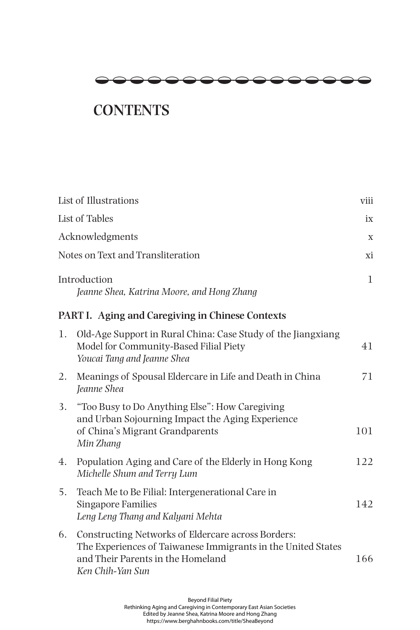

## **CONTENTS**

|                                   | List of Illustrations                                                                                                                                                       | viii        |
|-----------------------------------|-----------------------------------------------------------------------------------------------------------------------------------------------------------------------------|-------------|
|                                   | List of Tables                                                                                                                                                              |             |
| Acknowledgments                   |                                                                                                                                                                             | $\mathbf X$ |
| Notes on Text and Transliteration |                                                                                                                                                                             | хi          |
|                                   | Introduction<br>Jeanne Shea, Katrina Moore, and Hong Zhang                                                                                                                  | 1           |
|                                   | PART I. Aging and Caregiving in Chinese Contexts                                                                                                                            |             |
| 1.                                | Old-Age Support in Rural China: Case Study of the Jiangxiang<br>Model for Community-Based Filial Piety<br>Youcai Tang and Jeanne Shea                                       | 41          |
| 2.                                | Meanings of Spousal Eldercare in Life and Death in China<br>Jeanne Shea                                                                                                     | 71          |
| 3.                                | "Too Busy to Do Anything Else": How Caregiving<br>and Urban Sojourning Impact the Aging Experience<br>of China's Migrant Grandparents<br>Min Zhang                          | 101         |
| 4.                                | Population Aging and Care of the Elderly in Hong Kong<br>Michelle Shum and Terry Lum                                                                                        | 122         |
| 5.                                | Teach Me to Be Filial: Intergenerational Care in<br><b>Singapore Families</b><br>Leng Leng Thang and Kalyani Mehta                                                          | 142         |
| 6.                                | Constructing Networks of Eldercare across Borders:<br>The Experiences of Taiwanese Immigrants in the United States<br>and Their Parents in the Homeland<br>Ken Chih-Yan Sun | 166         |